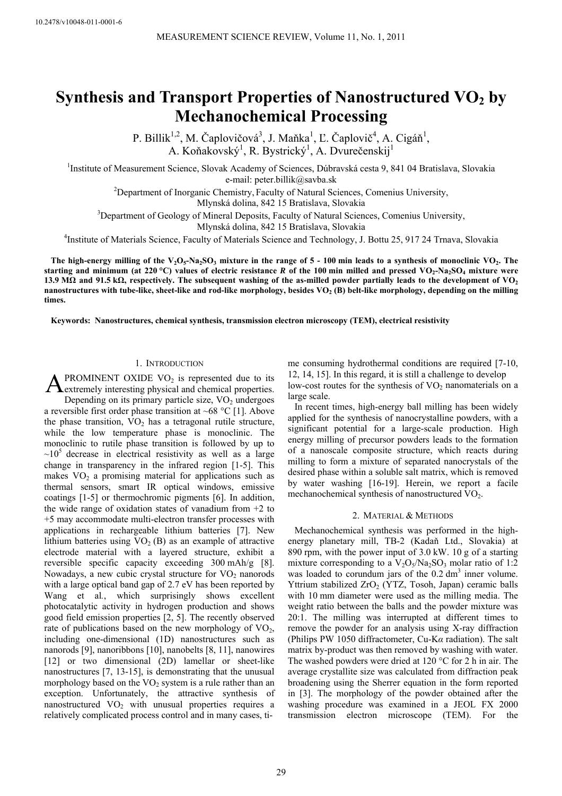# **Synthesis and Transport Properties of Nanostructured VO<sub>2</sub> by Mechanochemical Processing**

P. Billik<sup>1,2</sup>, M. Čaplovičová<sup>3</sup>, J. Maňka<sup>1</sup>, Ľ. Čaplovič<sup>4</sup>, A. Cigáň<sup>1</sup>, A. Koňakovský<sup>1</sup>, R. Bystrický<sup>1</sup>, A. Dvurečenskij<sup>1</sup>

<sup>1</sup>Institute of Measurement Science, Slovak Academy of Sciences, Dúbravská cesta 9, 841 04 Bratislava, Slovakia

e-mail: peter.billik@savba.sk<br>
<sup>2</sup>Department of Inorganic Chemistry, Faculty of Natural Sciences, Comenius University,

Mlynská dolina, 842 15 Bratislava, Slovakia<br>
<sup>3</sup>Department of Geology of Mineral Deposits, Faculty of Natural Sciences, Comenius University,

Mlynská dolina, 842 15 Bratislava, Slovakia<br><sup>4</sup>Institute of Materials Science, Faculty of Materials Science and Technology, J. Bottu 25, 917 24 Trnava, Slovakia

The high-energy milling of the  $V_2O_5-Na_2SO_3$  mixture in the range of 5 - 100 min leads to a synthesis of monoclinic VO<sub>2</sub>. The **starting and minimum (at 220 °C) values of electric resistance** *R* **of the 100 min milled and pressed VO2-Na2SO4 mixture were 13.9 MΩ and 91.5 kΩ, respectively. The subsequent washing of the as-milled powder partially leads to the development of VO2** nanostructures with tube-like, sheet-like and rod-like morphology, besides VO<sub>2</sub> (B) belt-like morphology, depending on the milling **times.** 

**Keywords: Nanostructures, chemical synthesis, transmission electron microscopy (TEM), electrical resistivity** 

# 1. INTRODUCTION

PROMINENT OXIDE  $VO<sub>2</sub>$  is represented due to its **A** PROMINENT OXIDE VO<sub>2</sub> is represented due to its extremely interesting physical and chemical properties.

Depending on its primary particle size,  $VO<sub>2</sub>$  undergoes a reversible first order phase transition at  $~68$  °C [1]. Above the phase transition,  $VO_2$  has a tetragonal rutile structure, while the low temperature phase is monoclinic. The monoclinic to rutile phase transition is followed by up to  $\sim 10^5$  decrease in electrical resistivity as well as a large change in transparency in the infrared region [1-5]. This makes  $VO<sub>2</sub>$  a promising material for applications such as thermal sensors, smart IR optical windows, emissive coatings [1-5] or thermochromic pigments [6]. In addition, the wide range of oxidation states of vanadium from  $+2$  to +5 may accommodate multi-electron transfer processes with applications in rechargeable lithium batteries [7]. New lithium batteries using  $VO<sub>2</sub>$  (B) as an example of attractive electrode material with a layered structure, exhibit a reversible specific capacity exceeding 300 mAh/g [8]. Nowadays, a new cubic crystal structure for  $VO<sub>2</sub>$  nanorods with a large optical band gap of 2.7 eV has been reported by Wang et al*.*, which surprisingly shows excellent photocatalytic activity in hydrogen production and shows good field emission properties [2, 5]. The recently observed rate of publications based on the new morphology of  $VO<sub>2</sub>$ , including one-dimensional (1D) nanostructures such as nanorods [9], nanoribbons [10], nanobelts [8, 11], nanowires [12] or two dimensional (2D) lamellar or sheet-like nanostructures [7, 13-15], is demonstrating that the unusual morphology based on the  $VO<sub>2</sub>$  system is a rule rather than an exception. Unfortunately, the attractive synthesis of nanostructured  $VO<sub>2</sub>$  with unusual properties requires a relatively complicated process control and in many cases, time consuming hydrothermal conditions are required [7-10, 12, 14, 15]. In this regard, it is still a challenge to develop low-cost routes for the synthesis of  $VO<sub>2</sub>$  nanomaterials on a large scale.

In recent times, high-energy ball milling has been widely applied for the synthesis of nanocrystalline powders, with a significant potential for a large-scale production. High energy milling of precursor powders leads to the formation of a nanoscale composite structure, which reacts during milling to form a mixture of separated nanocrystals of the desired phase within a soluble salt matrix, which is removed by water washing [16-19]. Herein, we report a facile mechanochemical synthesis of nanostructured  $VO<sub>2</sub>$ .

# 2. MATERIAL & METHODS

Mechanochemical synthesis was performed in the highenergy planetary mill, TB-2 (Kadaň Ltd., Slovakia) at 890 rpm, with the power input of 3.0 kW. 10 g of a starting mixture corresponding to a  $V_2O_5/Na_2SO_3$  molar ratio of 1:2 was loaded to corundum jars of the  $0.2 \text{ dm}^3$  inner volume. Yttrium stabilized ZrO<sub>2</sub> (YTZ, Tosoh, Japan) ceramic balls with 10 mm diameter were used as the milling media. The weight ratio between the balls and the powder mixture was 20:1. The milling was interrupted at different times to remove the powder for an analysis using X-ray diffraction (Philips PW 1050 diffractometer, Cu-K*α* radiation). The salt matrix by-product was then removed by washing with water. The washed powders were dried at 120 °C for 2 h in air. The average crystallite size was calculated from diffraction peak broadening using the Sherrer equation in the form reported in [3]. The morphology of the powder obtained after the washing procedure was examined in a JEOL FX 2000 transmission electron microscope (TEM). For the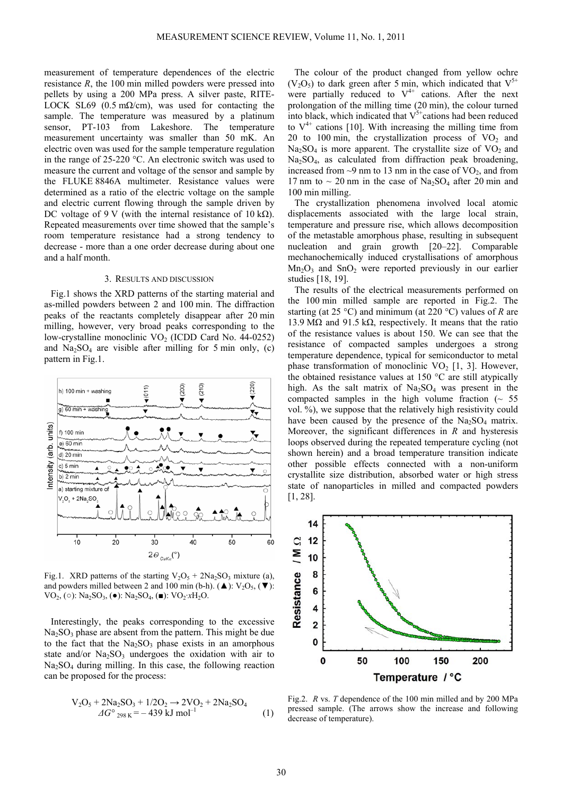measurement of temperature dependences of the electric resistance *R*, the 100 min milled powders were pressed into pellets by using a 200 MPa press. A silver paste, RITE-LOCK SL69 (0.5 m $\Omega$ /cm), was used for contacting the sample. The temperature was measured by a platinum sensor, PT-103 from Lakeshore. The temperature measurement uncertainty was smaller than 50 mK. An electric oven was used for the sample temperature regulation in the range of 25-220 °C. An electronic switch was used to measure the current and voltage of the sensor and sample by the FLUKE 8846A multimeter. Resistance values were determined as a ratio of the electric voltage on the sample and electric current flowing through the sample driven by DC voltage of 9 V (with the internal resistance of 10 k $\Omega$ ). Repeated measurements over time showed that the sample's room temperature resistance had a strong tendency to decrease - more than a one order decrease during about one and a half month.

## 3. RESULTS AND DISCUSSION

Fig.1 shows the XRD patterns of the starting material and as-milled powders between 2 and 100 min. The diffraction peaks of the reactants completely disappear after 20 min milling, however, very broad peaks corresponding to the low-crystalline monoclinic  $VO<sub>2</sub>$  (ICDD Card No. 44-0252) and  $Na<sub>2</sub>SO<sub>4</sub>$  are visible after milling for 5 min only, (c) pattern in Fig.1.



Fig.1. XRD patterns of the starting  $V_2O_5 + 2Na_2SO_3$  mixture (a), and powders milled between 2 and 100 min (b-h). ( $\triangle$ ):  $V_2O_5$ . ( $\nabla$ ):  $VO_2$ , (○):  $Na_2SO_3$ , (●):  $Na_2SO_4$ , (■):  $VO_2·xH_2O$ .

Interestingly, the peaks corresponding to the excessive  $Na<sub>2</sub>SO<sub>3</sub>$  phase are absent from the pattern. This might be due to the fact that the  $Na<sub>2</sub>SO<sub>3</sub>$  phase exists in an amorphous state and/or  $Na<sub>2</sub>SO<sub>3</sub>$  undergoes the oxidation with air to Na2SO4 during milling. In this case, the following reaction can be proposed for the process:

$$
V_2O_5 + 2Na_2SO_3 + 1/2O_2 \rightarrow 2VO_2 + 2Na_2SO_4
$$
  
\n
$$
\triangle G^{\circ}{}_{298\text{ K}} = -439\text{ kJ mol}^{-1}
$$
 (1)

The colour of the product changed from yellow ochre  $(V_2O_5)$  to dark green after 5 min, which indicated that  $V^{5+}$ were partially reduced to  $V^{4+}$  cations. After the next prolongation of the milling time (20 min), the colour turned into black, which indicated that  $V^{\delta+}$ cations had been reduced to  $V^{4+}$  cations [10]. With increasing the milling time from 20 to 100 min, the crystallization process of  $VO<sub>2</sub>$  and  $Na<sub>2</sub>SO<sub>4</sub>$  is more apparent. The crystallite size of  $VO<sub>2</sub>$  and Na2SO4, as calculated from diffraction peak broadening, increased from  $\sim$ 9 nm to 13 nm in the case of VO<sub>2</sub>, and from 17 nm to  $\sim$  20 nm in the case of Na<sub>2</sub>SO<sub>4</sub> after 20 min and 100 min milling.

The crystallization phenomena involved local atomic displacements associated with the large local strain, temperature and pressure rise, which allows decomposition of the metastable amorphous phase, resulting in subsequent nucleation and grain growth [20–22]. Comparable mechanochemically induced crystallisations of amorphous  $Mn<sub>2</sub>O<sub>3</sub>$  and  $SnO<sub>2</sub>$  were reported previously in our earlier studies [18, 19].

The results of the electrical measurements performed on the 100 min milled sample are reported in Fig.2. The starting (at 25 °C) and minimum (at 220 °C) values of *R* are 13.9 MΩ and 91.5 kΩ, respectively. It means that the ratio of the resistance values is about 150. We can see that the resistance of compacted samples undergoes a strong temperature dependence, typical for semiconductor to metal phase transformation of monoclinic  $VO<sub>2</sub> [1, 3]$ . However, the obtained resistance values at 150 °C are still atypically high. As the salt matrix of  $Na<sub>2</sub>SO<sub>4</sub>$  was present in the compacted samples in the high volume fraction  $($   $\sim$  55 vol. %), we suppose that the relatively high resistivity could have been caused by the presence of the  $Na<sub>2</sub>SO<sub>4</sub>$  matrix. Moreover, the significant differences in *R* and hysteresis loops observed during the repeated temperature cycling (not shown herein) and a broad temperature transition indicate other possible effects connected with a non-uniform crystallite size distribution, absorbed water or high stress state of nanoparticles in milled and compacted powders [1, 28].



Fig.2. *R* vs. *T* dependence of the 100 min milled and by 200 MPa pressed sample. (The arrows show the increase and following decrease of temperature).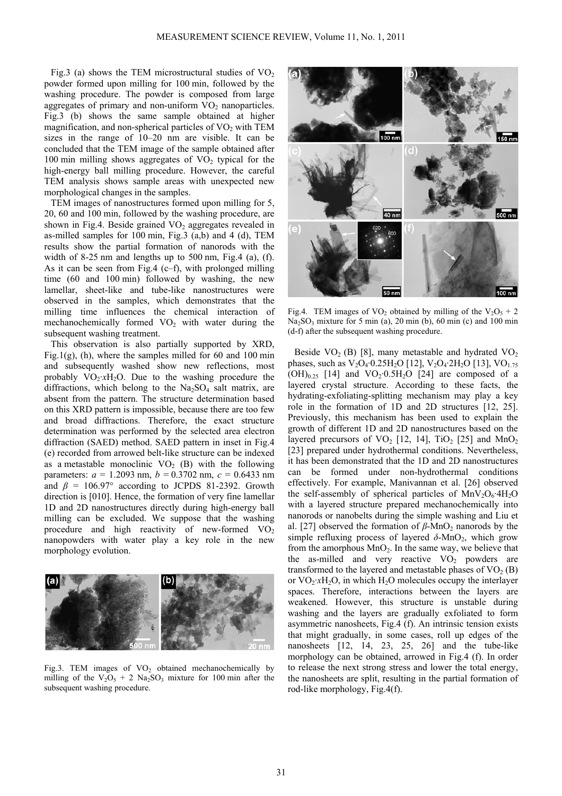Fig.3 (a) shows the TEM microstructural studies of  $VO<sub>2</sub>$ powder formed upon milling for 100 min, followed by the washing procedure. The powder is composed from large aggregates of primary and non-uniform  $VO<sub>2</sub>$  nanoparticles. Fig.3 (b) shows the same sample obtained at higher magnification, and non-spherical particles of  $VO<sub>2</sub>$  with TEM sizes in the range of 10–20 nm are visible. It can be concluded that the TEM image of the sample obtained after 100 min milling shows aggregates of  $VO<sub>2</sub>$  typical for the high-energy ball milling procedure. However, the careful TEM analysis shows sample areas with unexpected new morphological changes in the samples.

TEM images of nanostructures formed upon milling for 5, 20, 60 and 100 min, followed by the washing procedure, are shown in Fig.4. Beside grained  $VO<sub>2</sub>$  aggregates revealed in as-milled samples for 100 min, Fig.3 (a,b) and 4 (d), TEM results show the partial formation of nanorods with the width of 8-25 nm and lengths up to 500 nm, Fig.4 (a), (f). As it can be seen from Fig.4 (c–f), with prolonged milling time (60 and 100 min) followed by washing, the new lamellar, sheet-like and tube-like nanostructures were observed in the samples, which demonstrates that the milling time influences the chemical interaction of mechanochemically formed  $VO<sub>2</sub>$  with water during the subsequent washing treatment.

This observation is also partially supported by XRD, Fig.1(g), (h), where the samples milled for 60 and 100 min and subsequently washed show new reflections, most probably  $VO_2·xH_2O$ . Due to the washing procedure the diffractions, which belong to the  $Na<sub>2</sub>SO<sub>4</sub>$  salt matrix, are absent from the pattern. The structure determination based on this XRD pattern is impossible, because there are too few and broad diffractions. Therefore, the exact structure determination was performed by the selected area electron diffraction (SAED) method. SAED pattern in inset in Fig.4 (e) recorded from arrowed belt-like structure can be indexed as a metastable monoclinic  $VO<sub>2</sub>$  (B) with the following parameters:  $a = 1.2093$  nm,  $b = 0.3702$  nm,  $c = 0.6433$  nm and  $\beta$  = 106.97° according to JCPDS 81-2392. Growth direction is [010]. Hence, the formation of very fine lamellar 1D and 2D nanostructures directly during high-energy ball milling can be excluded. We suppose that the washing procedure and high reactivity of new-formed  $VO<sub>2</sub>$ nanopowders with water play a key role in the new morphology evolution.



Fig.3. TEM images of  $VO<sub>2</sub>$  obtained mechanochemically by milling of the  $V_2O_5 + 2$  Na<sub>2</sub>SO<sub>3</sub> mixture for 100 min after the subsequent washing procedure.



Fig.4. TEM images of VO<sub>2</sub> obtained by milling of the V<sub>2</sub>O<sub>5</sub> + 2  $Na<sub>2</sub>SO<sub>3</sub>$  mixture for 5 min (a), 20 min (b), 60 min (c) and 100 min (d-f) after the subsequent washing procedure.

Beside VO<sub>2</sub> (B) [8], many metastable and hydrated VO<sub>2</sub> phases, such as  $V_2O_4.0.25H_2O$  [12],  $V_2O_4.2H_2O$  [13],  $VO_{1.75}$  $(OH)_{0.25}$  [14] and  $VO_2 \cdot 0.5H_2O$  [24] are composed of a layered crystal structure. According to these facts, the hydrating-exfoliating-splitting mechanism may play a key role in the formation of 1D and 2D structures [12, 25]. Previously, this mechanism has been used to explain the growth of different 1D and 2D nanostructures based on the layered precursors of  $VO<sub>2</sub>$  [12, 14], TiO<sub>2</sub> [25] and MnO<sub>2</sub> [23] prepared under hydrothermal conditions. Nevertheless, it has been demonstrated that the 1D and 2D nanostructures can be formed under non-hydrothermal conditions effectively. For example, Manivannan et al. [26] observed the self-assembly of spherical particles of  $MnV_2O_6$ :4H<sub>2</sub>O with a layered structure prepared mechanochemically into nanorods or nanobelts during the simple washing and Liu et al. [27] observed the formation of  $\beta$ -MnO<sub>2</sub> nanorods by the simple refluxing process of layered  $\delta$ -MnO<sub>2</sub>, which grow from the amorphous  $MnO_2$ . In the same way, we believe that the as-milled and very reactive  $VO<sub>2</sub>$  powders are transformed to the layered and metastable phases of  $VO<sub>2</sub>$  (B) or  $VO_2$ *xH*<sub>2</sub>O, in which H<sub>2</sub>O molecules occupy the interlayer spaces. Therefore, interactions between the layers are weakened. However, this structure is unstable during washing and the layers are gradually exfoliated to form asymmetric nanosheets, Fig.4 (f). An intrinsic tension exists that might gradually, in some cases, roll up edges of the nanosheets [12, 14, 23, 25, 26] and the tube-like morphology can be obtained, arrowed in Fig.4 (f). In order to release the next strong stress and lower the total energy, the nanosheets are split, resulting in the partial formation of rod-like morphology, Fig.4(f).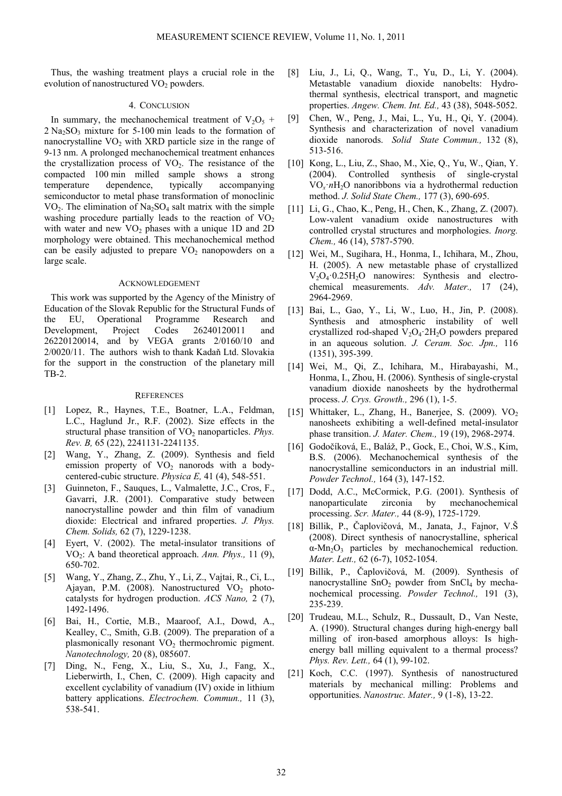Thus, the washing treatment plays a crucial role in the evolution of nanostructured  $VO<sub>2</sub>$  powders.

#### 4. CONCLUSION

In summary, the mechanochemical treatment of  $V_2O_5$  +  $2$  Na<sub>2</sub>SO<sub>3</sub> mixture for 5-100 min leads to the formation of nanocrystalline  $VO<sub>2</sub>$  with XRD particle size in the range of 9-13 nm. A prolonged mechanochemical treatment enhances the crystallization process of  $VO<sub>2</sub>$ . The resistance of the compacted 100 min milled sample shows a strong temperature dependence, typically accompanying semiconductor to metal phase transformation of monoclinic  $VO<sub>2</sub>$ . The elimination of Na<sub>2</sub>SO<sub>4</sub> salt matrix with the simple washing procedure partially leads to the reaction of  $VO<sub>2</sub>$ with water and new  $VO<sub>2</sub>$  phases with a unique 1D and 2D morphology were obtained. This mechanochemical method can be easily adjusted to prepare  $VO<sub>2</sub>$  nanopowders on a large scale.

## ACKNOWLEDGEMENT

This work was supported by the Agency of the Ministry of Education of the Slovak Republic for the Structural Funds of the EU, Operational Programme Research and Development, Project Codes 26240120011 and 26220120014, and by VEGA grants 2/0160/10 and 2/0020/11. The authors wish to thank Kadaň Ltd. Slovakia for the support in the construction of the planetary mill TB-2.

#### **REFERENCES**

- [1] Lopez, R., Haynes, T.E., Boatner, L.A., Feldman, L.C., Haglund Jr., R.F. (2002). Size effects in the structural phase transition of VO<sub>2</sub> nanoparticles. *Phys. Rev. B,* 65 (22), 2241131-2241135.
- [2] Wang, Y., Zhang, Z. (2009). Synthesis and field emission property of  $VO<sub>2</sub>$  nanorods with a bodycentered-cubic structure. *Physica E,* 41 (4), 548-551.
- [3] Guinneton, F., Sauques, L., Valmalette, J.C., Cros, F., Gavarri, J.R. (2001). Comparative study between nanocrystalline powder and thin film of vanadium dioxide: Electrical and infrared properties. *J. Phys. Chem. Solids,* 62 (7), 1229-1238.
- [4] Eyert, V. (2002). The metal-insulator transitions of VO2: A band theoretical approach. *Ann. Phys.,* 11 (9), 650-702.
- [5] Wang, Y., Zhang, Z., Zhu, Y., Li, Z., Vajtai, R., Ci, L., Ajayan, P.M. (2008). Nanostructured  $VO<sub>2</sub>$  photocatalysts for hydrogen production. *ACS Nano,* 2 (7), 1492-1496.
- [6] Bai, H., Cortie, M.B., Maaroof, A.I., Dowd, A., Kealley, C., Smith, G.B. (2009). The preparation of a plasmonically resonant  $VO<sub>2</sub>$  thermochromic pigment. *Nanotechnology,* 20 (8), 085607.
- [7] Ding, N., Feng, X., Liu, S., Xu, J., Fang, X., Lieberwirth, I., Chen, C. (2009). High capacity and excellent cyclability of vanadium (IV) oxide in lithium battery applications. *Electrochem. Commun.,* 11 (3), 538-541.
- [8] Liu, J., Li, Q., Wang, T., Yu, D., Li, Y. (2004). Metastable vanadium dioxide nanobelts: Hydrothermal synthesis, electrical transport, and magnetic properties. *Angew. Chem. Int. Ed.,* 43 (38), 5048-5052.
- [9] Chen, W., Peng, J., Mai, L., Yu, H., Qi, Y. (2004). Synthesis and characterization of novel vanadium dioxide nanorods. *Solid State Commun.,* 132 (8), 513-516.
- [10] Kong, L., Liu, Z., Shao, M., Xie, Q., Yu, W., Qian, Y. (2004). Controlled synthesis of single-crystal  $VO<sub>x</sub> nH<sub>2</sub>O$  nanoribbons via a hydrothermal reduction method. *J. Solid State Chem.,* 177 (3), 690-695.
- [11] Li, G., Chao, K., Peng, H., Chen, K., Zhang, Z. (2007). Low-valent vanadium oxide nanostructures with controlled crystal structures and morphologies. *Inorg. Chem.,* 46 (14), 5787-5790.
- [12] Wei, M., Sugihara, H., Honma, I., Ichihara, M., Zhou, H. (2005). A new metastable phase of crystallized  $V_2O_4 \cdot 0.25H_2O$  nanowires: Synthesis and electrochemical measurements. *Adv. Mater.,* 17 (24), 2964-2969.
- [13] Bai, L., Gao, Y., Li, W., Luo, H., Jin, P. (2008). Synthesis and atmospheric instability of well crystallized rod-shaped  $V_2O_4$  2H<sub>2</sub>O powders prepared in an aqueous solution. *J. Ceram. Soc. Jpn.,* 116 (1351), 395-399.
- [14] Wei, M., Qi, Z., Ichihara, M., Hirabayashi, M., Honma, I., Zhou, H. (2006). Synthesis of single-crystal vanadium dioxide nanosheets by the hydrothermal process. *J. Crys. Growth.,* 296 (1), 1-5.
- [15] Whittaker, L., Zhang, H., Banerjee, S. (2009).  $VO<sub>2</sub>$ nanosheets exhibiting a well-defined metal-insulator phase transition. *J. Mater. Chem.,* 19 (19), 2968-2974.
- [16] Godočíková, E., Baláž, P., Gock, E., Choi, W.S., Kim, B.S. (2006). Mechanochemical synthesis of the nanocrystalline semiconductors in an industrial mill. *Powder Technol.,* 164 (3), 147-152.
- [17] Dodd, A.C., McCormick, P.G. (2001). Synthesis of nanoparticulate zirconia by mechanochemical processing. *Scr. Mater.,* 44 (8-9), 1725-1729.
- [18] Billik, P., Čaplovičová, M., Janata, J., Fajnor, V.Š (2008). Direct synthesis of nanocrystalline, spherical  $\alpha$ -Mn<sub>2</sub>O<sub>3</sub> particles by mechanochemical reduction. *Mater. Lett.,* 62 (6-7), 1052-1054.
- [19] Billik, P., Čaplovičová, M. (2009). Synthesis of nanocrystalline  $SnO<sub>2</sub>$  powder from  $SnCl<sub>4</sub>$  by mechanochemical processing. *Powder Technol.,* 191 (3), 235-239.
- [20] Trudeau, M.L., Schulz, R., Dussault, D., Van Neste, A. (1990). Structural changes during high-energy ball milling of iron-based amorphous alloys: Is highenergy ball milling equivalent to a thermal process? *Phys. Rev. Lett.,* 64 (1), 99-102.
- [21] Koch, C.C. (1997). Synthesis of nanostructured materials by mechanical milling: Problems and opportunities. *Nanostruc. Mater.,* 9 (1-8), 13-22.